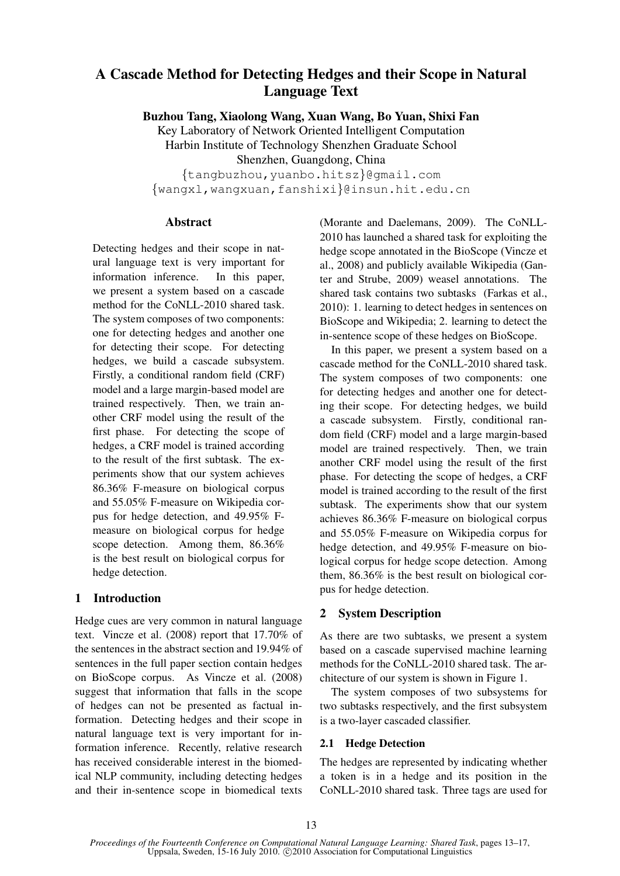# A Cascade Method for Detecting Hedges and their Scope in Natural Language Text

Buzhou Tang, Xiaolong Wang, Xuan Wang, Bo Yuan, Shixi Fan

Key Laboratory of Network Oriented Intelligent Computation Harbin Institute of Technology Shenzhen Graduate School Shenzhen, Guangdong, China {tangbuzhou,yuanbo.hitsz}@gmail.com

{wangxl,wangxuan,fanshixi}@insun.hit.edu.cn

# Abstract

Detecting hedges and their scope in natural language text is very important for information inference. In this paper, we present a system based on a cascade method for the CoNLL-2010 shared task. The system composes of two components: one for detecting hedges and another one for detecting their scope. For detecting hedges, we build a cascade subsystem. Firstly, a conditional random field (CRF) model and a large margin-based model are trained respectively. Then, we train another CRF model using the result of the first phase. For detecting the scope of hedges, a CRF model is trained according to the result of the first subtask. The experiments show that our system achieves 86.36% F-measure on biological corpus and 55.05% F-measure on Wikipedia corpus for hedge detection, and 49.95% Fmeasure on biological corpus for hedge scope detection. Among them, 86.36% is the best result on biological corpus for hedge detection.

# 1 Introduction

Hedge cues are very common in natural language text. Vincze et al. (2008) report that 17.70% of the sentences in the abstract section and 19.94% of sentences in the full paper section contain hedges on BioScope corpus. As Vincze et al. (2008) suggest that information that falls in the scope of hedges can not be presented as factual information. Detecting hedges and their scope in natural language text is very important for information inference. Recently, relative research has received considerable interest in the biomedical NLP community, including detecting hedges and their in-sentence scope in biomedical texts

(Morante and Daelemans, 2009). The CoNLL-2010 has launched a shared task for exploiting the hedge scope annotated in the BioScope (Vincze et al., 2008) and publicly available Wikipedia (Ganter and Strube, 2009) weasel annotations. The shared task contains two subtasks (Farkas et al., 2010): 1. learning to detect hedges in sentences on BioScope and Wikipedia; 2. learning to detect the in-sentence scope of these hedges on BioScope.

In this paper, we present a system based on a cascade method for the CoNLL-2010 shared task. The system composes of two components: one for detecting hedges and another one for detecting their scope. For detecting hedges, we build a cascade subsystem. Firstly, conditional random field (CRF) model and a large margin-based model are trained respectively. Then, we train another CRF model using the result of the first phase. For detecting the scope of hedges, a CRF model is trained according to the result of the first subtask. The experiments show that our system achieves 86.36% F-measure on biological corpus and 55.05% F-measure on Wikipedia corpus for hedge detection, and 49.95% F-measure on biological corpus for hedge scope detection. Among them, 86.36% is the best result on biological corpus for hedge detection.

# 2 System Description

As there are two subtasks, we present a system based on a cascade supervised machine learning methods for the CoNLL-2010 shared task. The architecture of our system is shown in Figure 1.

The system composes of two subsystems for two subtasks respectively, and the first subsystem is a two-layer cascaded classifier.

# 2.1 Hedge Detection

The hedges are represented by indicating whether a token is in a hedge and its position in the CoNLL-2010 shared task. Three tags are used for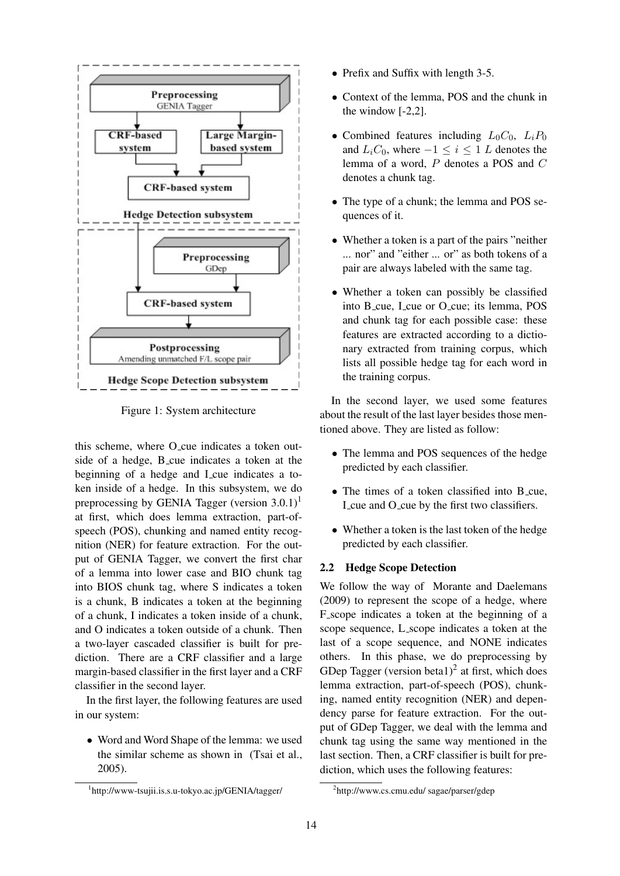

Figure 1: System architecture

this scheme, where O\_cue indicates a token outside of a hedge, B cue indicates a token at the beginning of a hedge and I cue indicates a token inside of a hedge. In this subsystem, we do preprocessing by GENIA Tagger (version  $3.0.1$ )<sup>1</sup> at first, which does lemma extraction, part-ofspeech (POS), chunking and named entity recognition (NER) for feature extraction. For the output of GENIA Tagger, we convert the first char of a lemma into lower case and BIO chunk tag into BIOS chunk tag, where S indicates a token is a chunk, B indicates a token at the beginning of a chunk, I indicates a token inside of a chunk, and O indicates a token outside of a chunk. Then a two-layer cascaded classifier is built for prediction. There are a CRF classifier and a large margin-based classifier in the first layer and a CRF classifier in the second layer.

In the first layer, the following features are used in our system:

• Word and Word Shape of the lemma: we used the similar scheme as shown in (Tsai et al., 2005).

- Prefix and Suffix with length 3-5.
- Context of the lemma, POS and the chunk in the window [-2,2].
- Combined features including  $L_0C_0$ ,  $L_iP_0$ and  $L_iC_0$ , where  $-1 \leq i \leq 1$  L denotes the lemma of a word, P denotes a POS and C denotes a chunk tag.
- The type of a chunk; the lemma and POS sequences of it.
- Whether a token is a part of the pairs "neither" ... nor" and "either ... or" as both tokens of a pair are always labeled with the same tag.
- Whether a token can possibly be classified into B cue, L cue or O cue; its lemma, POS and chunk tag for each possible case: these features are extracted according to a dictionary extracted from training corpus, which lists all possible hedge tag for each word in the training corpus.

In the second layer, we used some features about the result of the last layer besides those mentioned above. They are listed as follow:

- The lemma and POS sequences of the hedge predicted by each classifier.
- The times of a token classified into B cue, I cue and O cue by the first two classifiers.
- Whether a token is the last token of the hedge predicted by each classifier.

#### 2.2 Hedge Scope Detection

We follow the way of Morante and Daelemans (2009) to represent the scope of a hedge, where F scope indicates a token at the beginning of a scope sequence, L scope indicates a token at the last of a scope sequence, and NONE indicates others. In this phase, we do preprocessing by GDep Tagger (version beta1)<sup>2</sup> at first, which does lemma extraction, part-of-speech (POS), chunking, named entity recognition (NER) and dependency parse for feature extraction. For the output of GDep Tagger, we deal with the lemma and chunk tag using the same way mentioned in the last section. Then, a CRF classifier is built for prediction, which uses the following features:

<sup>1</sup> http://www-tsujii.is.s.u-tokyo.ac.jp/GENIA/tagger/

<sup>2</sup> http://www.cs.cmu.edu/ sagae/parser/gdep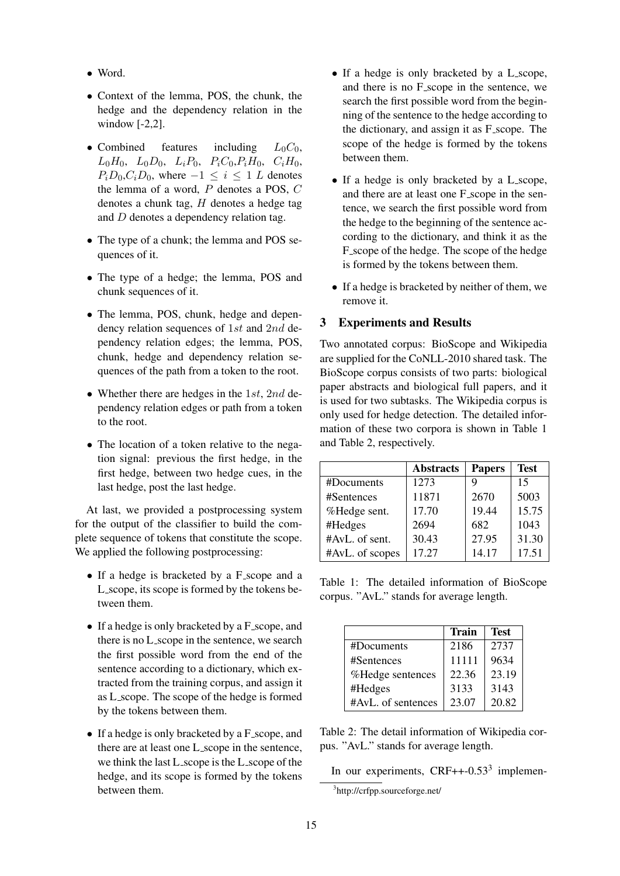- Word.
- Context of the lemma, POS, the chunk, the hedge and the dependency relation in the window [-2,2].
- Combined features including  $L_0C_0$ ,  $L_0H_0$ ,  $L_0D_0$ ,  $L_iP_0$ ,  $P_iC_0$ ,  $P_iH_0$ ,  $C_iH_0$ ,  $P_iD_0,C_iD_0$ , where  $-1 \leq i \leq 1$  L denotes the lemma of a word, P denotes a POS, C denotes a chunk tag, H denotes a hedge tag and D denotes a dependency relation tag.
- The type of a chunk; the lemma and POS sequences of it.
- The type of a hedge; the lemma, POS and chunk sequences of it.
- The lemma, POS, chunk, hedge and dependency relation sequences of 1st and 2nd dependency relation edges; the lemma, POS, chunk, hedge and dependency relation sequences of the path from a token to the root.
- Whether there are hedges in the 1st, 2nd dependency relation edges or path from a token to the root.
- The location of a token relative to the negation signal: previous the first hedge, in the first hedge, between two hedge cues, in the last hedge, post the last hedge.

At last, we provided a postprocessing system for the output of the classifier to build the complete sequence of tokens that constitute the scope. We applied the following postprocessing:

- If a hedge is bracketed by a F scope and a L scope, its scope is formed by the tokens between them.
- If a hedge is only bracketed by a F\_scope, and there is no L scope in the sentence, we search the first possible word from the end of the sentence according to a dictionary, which extracted from the training corpus, and assign it as L scope. The scope of the hedge is formed by the tokens between them.
- If a hedge is only bracketed by a F<sub>-scope</sub>, and there are at least one L scope in the sentence, we think the last L scope is the L scope of the hedge, and its scope is formed by the tokens between them.
- If a hedge is only bracketed by a L scope, and there is no F scope in the sentence, we search the first possible word from the beginning of the sentence to the hedge according to the dictionary, and assign it as F<sub>-scope</sub>. The scope of the hedge is formed by the tokens between them.
- If a hedge is only bracketed by a L scope, and there are at least one F<sub>-scope</sub> in the sentence, we search the first possible word from the hedge to the beginning of the sentence according to the dictionary, and think it as the F scope of the hedge. The scope of the hedge is formed by the tokens between them.
- If a hedge is bracketed by neither of them, we remove it.

# 3 Experiments and Results

Two annotated corpus: BioScope and Wikipedia are supplied for the CoNLL-2010 shared task. The BioScope corpus consists of two parts: biological paper abstracts and biological full papers, and it is used for two subtasks. The Wikipedia corpus is only used for hedge detection. The detailed information of these two corpora is shown in Table 1 and Table 2, respectively.

|                 | <b>Abstracts</b> | <b>Papers</b> | <b>Test</b> |
|-----------------|------------------|---------------|-------------|
| #Documents      | 1273             | 9             | 15          |
| #Sentences      | 11871            | 2670          | 5003        |
| %Hedge sent.    | 17.70            | 19.44         | 15.75       |
| #Hedges         | 2694             | 682           | 1043        |
| #AvL. of sent.  | 30.43            | 27.95         | 31.30       |
| #AvL. of scopes | 17.27            | 14.17         | 17.51       |

Table 1: The detailed information of BioScope corpus. "AvL." stands for average length.

|                    | <b>Train</b> | Test  |
|--------------------|--------------|-------|
| #Documents         | 2186         | 2737  |
| #Sentences         | 11111        | 9634  |
| %Hedge sentences   | 22.36        | 23.19 |
| #Hedges            | 3133         | 3143  |
| #AvL. of sentences | 23.07        | 20.82 |

Table 2: The detail information of Wikipedia corpus. "AvL." stands for average length.

In our experiments,  $CRF++-0.53<sup>3</sup>$  implemen-

<sup>3</sup> http://crfpp.sourceforge.net/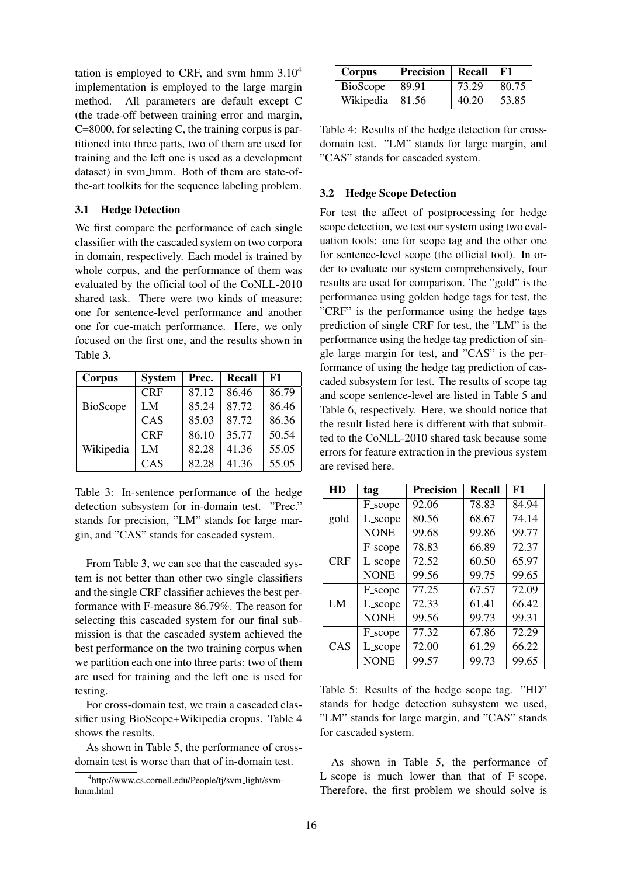tation is employed to CRF, and svm hmm  $3.10<sup>4</sup>$ implementation is employed to the large margin method. All parameters are default except C (the trade-off between training error and margin, C=8000, for selecting C, the training corpus is partitioned into three parts, two of them are used for training and the left one is used as a development dataset) in svm hmm. Both of them are state-ofthe-art toolkits for the sequence labeling problem.

#### 3.1 Hedge Detection

We first compare the performance of each single classifier with the cascaded system on two corpora in domain, respectively. Each model is trained by whole corpus, and the performance of them was evaluated by the official tool of the CoNLL-2010 shared task. There were two kinds of measure: one for sentence-level performance and another one for cue-match performance. Here, we only focused on the first one, and the results shown in Table 3.

| Corpus    | <b>System</b> | Prec. | <b>Recall</b> | F1    |
|-----------|---------------|-------|---------------|-------|
| BioScope  | <b>CRF</b>    | 87.12 | 86.46         | 86.79 |
|           | LM            | 85.24 | 87.72         | 86.46 |
|           | CAS           | 85.03 | 87.72         | 86.36 |
| Wikipedia | <b>CRF</b>    | 86.10 | 35.77         | 50.54 |
|           | LM            | 82.28 | 41.36         | 55.05 |
|           | CAS           | 82.28 | 41.36         | 55.05 |

Table 3: In-sentence performance of the hedge detection subsystem for in-domain test. "Prec." stands for precision, "LM" stands for large margin, and "CAS" stands for cascaded system.

From Table 3, we can see that the cascaded system is not better than other two single classifiers and the single CRF classifier achieves the best performance with F-measure 86.79%. The reason for selecting this cascaded system for our final submission is that the cascaded system achieved the best performance on the two training corpus when we partition each one into three parts: two of them are used for training and the left one is used for testing.

For cross-domain test, we train a cascaded classifier using BioScope+Wikipedia cropus. Table 4 shows the results.

As shown in Table 5, the performance of crossdomain test is worse than that of in-domain test.

| Corpus                  | <b>Precision</b> | Recall | F1    |
|-------------------------|------------------|--------|-------|
| BioScope                | 89.91            | 73.29  | 80.75 |
| Wikipedia $\vert$ 81.56 |                  | 40.20  | 53.85 |

Table 4: Results of the hedge detection for crossdomain test. "LM" stands for large margin, and "CAS" stands for cascaded system.

#### 3.2 Hedge Scope Detection

For test the affect of postprocessing for hedge scope detection, we test our system using two evaluation tools: one for scope tag and the other one for sentence-level scope (the official tool). In order to evaluate our system comprehensively, four results are used for comparison. The "gold" is the performance using golden hedge tags for test, the "CRF" is the performance using the hedge tags prediction of single CRF for test, the "LM" is the performance using the hedge tag prediction of single large margin for test, and "CAS" is the performance of using the hedge tag prediction of cascaded subsystem for test. The results of scope tag and scope sentence-level are listed in Table 5 and Table 6, respectively. Here, we should notice that the result listed here is different with that submitted to the CoNLL-2010 shared task because some errors for feature extraction in the previous system are revised here.

| HD         | tag            | <b>Precision</b> | Recall | F1    |
|------------|----------------|------------------|--------|-------|
| gold       | <b>F_scope</b> | 92.06            | 78.83  | 84.94 |
|            | L_scope        | 80.56            | 68.67  | 74.14 |
|            | <b>NONE</b>    | 99.68            | 99.86  | 99.77 |
|            | <b>F_scope</b> | 78.83            | 66.89  | 72.37 |
| <b>CRF</b> | L_scope        | 72.52            | 60.50  | 65.97 |
|            | <b>NONE</b>    | 99.56            | 99.75  | 99.65 |
| LM         | <b>F_scope</b> | 77.25            | 67.57  | 72.09 |
|            | L_scope        | 72.33            | 61.41  | 66.42 |
|            | <b>NONE</b>    | 99.56            | 99.73  | 99.31 |
| CAS        | <b>F_scope</b> | 77.32            | 67.86  | 72.29 |
|            | L_scope        | 72.00            | 61.29  | 66.22 |
|            | <b>NONE</b>    | 99.57            | 99.73  | 99.65 |

Table 5: Results of the hedge scope tag. "HD" stands for hedge detection subsystem we used, "LM" stands for large margin, and "CAS" stands for cascaded system.

As shown in Table 5, the performance of L scope is much lower than that of F scope. Therefore, the first problem we should solve is

<sup>4</sup> http://www.cs.cornell.edu/People/tj/svm light/svmhmm.html